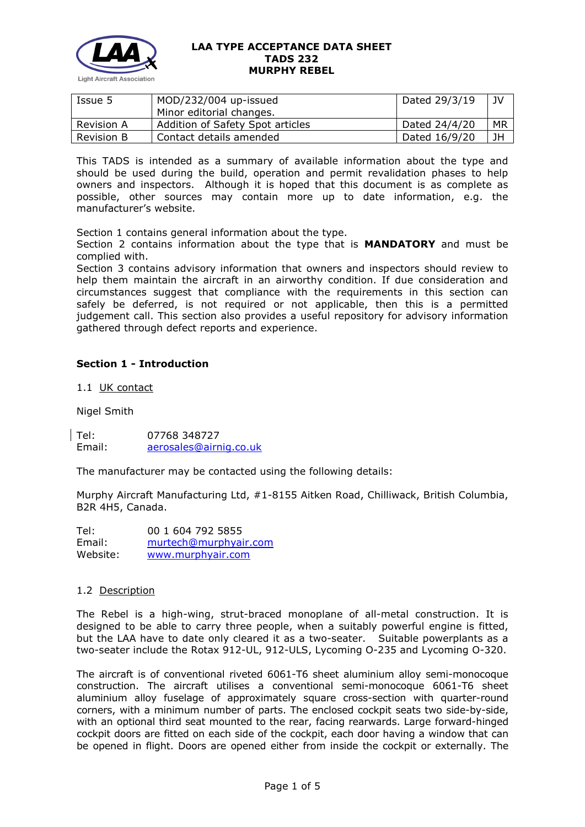

| Issue 5           | MOD/232/004 up-issued            | Dated 29/3/19 | JV |
|-------------------|----------------------------------|---------------|----|
|                   | Minor editorial changes.         |               |    |
| <b>Revision A</b> | Addition of Safety Spot articles | Dated 24/4/20 | MR |
| <b>Revision B</b> | Contact details amended          | Dated 16/9/20 | JH |

This TADS is intended as a summary of available information about the type and should be used during the build, operation and permit revalidation phases to help owners and inspectors. Although it is hoped that this document is as complete as possible, other sources may contain more up to date information, e.g. the manufacturer's website.

Section 1 contains general information about the type.

Section 2 contains information about the type that is **MANDATORY** and must be complied with.

Section 3 contains advisory information that owners and inspectors should review to help them maintain the aircraft in an airworthy condition. If due consideration and circumstances suggest that compliance with the requirements in this section can safely be deferred, is not required or not applicable, then this is a permitted judgement call. This section also provides a useful repository for advisory information gathered through defect reports and experience.

# **Section 1 - Introduction**

1.1 UK contact

Nigel Smith

Tel: 07768 348727 [aerosales@airnig.co.uk](mailto:aerosales@airnig.co.uk)

The manufacturer may be contacted using the following details:

Murphy Aircraft Manufacturing Ltd, #1-8155 Aitken Road, Chilliwack, British Columbia, B2R 4H5, Canada.

Tel: 00 1 604 792 5855 Email: [murtech@murphyair.com](mailto:murtech@murphyair.com) Website: [www.murphyair.com](http://www.murphyair.com/)

### 1.2 Description

The Rebel is a high-wing, strut-braced monoplane of all-metal construction. It is designed to be able to carry three people, when a suitably powerful engine is fitted, but the LAA have to date only cleared it as a two-seater. Suitable powerplants as a two-seater include the Rotax 912-UL, 912-ULS, Lycoming O-235 and Lycoming O-320.

The aircraft is of conventional riveted 6061-T6 sheet aluminium alloy semi-monocoque construction. The aircraft utilises a conventional semi-monocoque 6061-T6 sheet aluminium alloy fuselage of approximately square cross-section with quarter-round corners, with a minimum number of parts. The enclosed cockpit seats two side-by-side, with an optional third seat mounted to the rear, facing rearwards. Large forward-hinged cockpit doors are fitted on each side of the cockpit, each door having a window that can be opened in flight. Doors are opened either from inside the cockpit or externally. The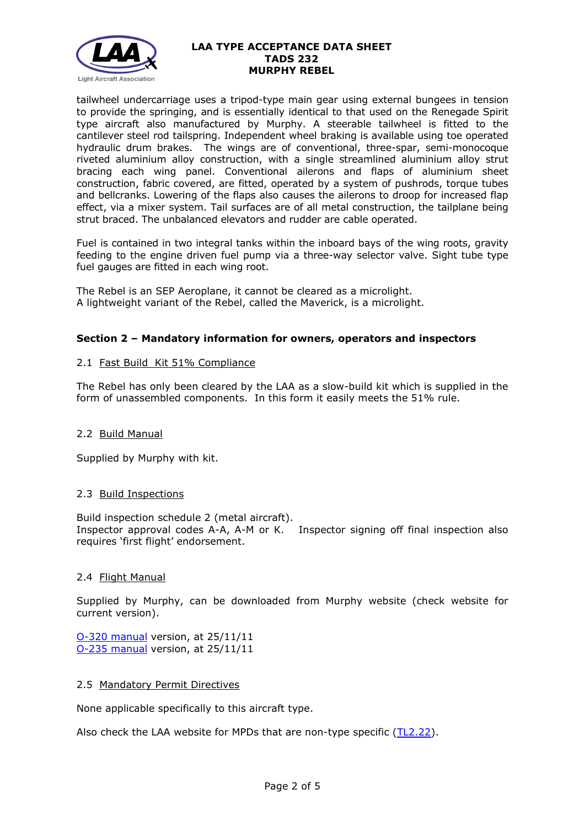

tailwheel undercarriage uses a tripod-type main gear using external bungees in tension to provide the springing, and is essentially identical to that used on the Renegade Spirit type aircraft also manufactured by Murphy. A steerable tailwheel is fitted to the cantilever steel rod tailspring. Independent wheel braking is available using toe operated hydraulic drum brakes. The wings are of conventional, three-spar, semi-monocoque riveted aluminium alloy construction, with a single streamlined aluminium alloy strut bracing each wing panel. Conventional ailerons and flaps of aluminium sheet construction, fabric covered, are fitted, operated by a system of pushrods, torque tubes and bellcranks. Lowering of the flaps also causes the ailerons to droop for increased flap effect, via a mixer system. Tail surfaces are of all metal construction, the tailplane being strut braced. The unbalanced elevators and rudder are cable operated.

Fuel is contained in two integral tanks within the inboard bays of the wing roots, gravity feeding to the engine driven fuel pump via a three-way selector valve. Sight tube type fuel gauges are fitted in each wing root.

The Rebel is an SEP Aeroplane, it cannot be cleared as a microlight. A lightweight variant of the Rebel, called the Maverick, is a microlight.

# **Section 2 – Mandatory information for owners, operators and inspectors**

# 2.1 Fast Build Kit 51% Compliance

The Rebel has only been cleared by the LAA as a slow-build kit which is supplied in the form of unassembled components. In this form it easily meets the 51% rule.

### 2.2 Build Manual

Supplied by Murphy with kit.

### 2.3 Build Inspections

Build inspection schedule 2 (metal aircraft). Inspector approval codes A-A, A-M or K. Inspector signing off final inspection also requires 'first flight' endorsement.

### 2.4 Flight Manual

Supplied by Murphy, can be downloaded from Murphy website (check website for current version).

[O-320 manual](http://www.lightaircraftassociation.co.uk/engineering/TADs/../_In%20draft/232%20Murphy%20Rebel/232/Rebfly320.pdf) version, at 25/11/11 [O-235 manual](http://www.lightaircraftassociation.co.uk/engineering/TADs/../_In%20draft/232%20Murphy%20Rebel/232/O-235manual.pdf) version, at 25/11/11

### 2.5 Mandatory Permit Directives

None applicable specifically to this aircraft type.

Also check the LAA website for MPDs that are non-type specific [\(TL2.22\)](http://www.lightaircraftassociation.co.uk/engineering/TechnicalLeaflets/Operating%20An%20Aircraft/TL%202.22%20non-type%20specific%20MPDs.pdf).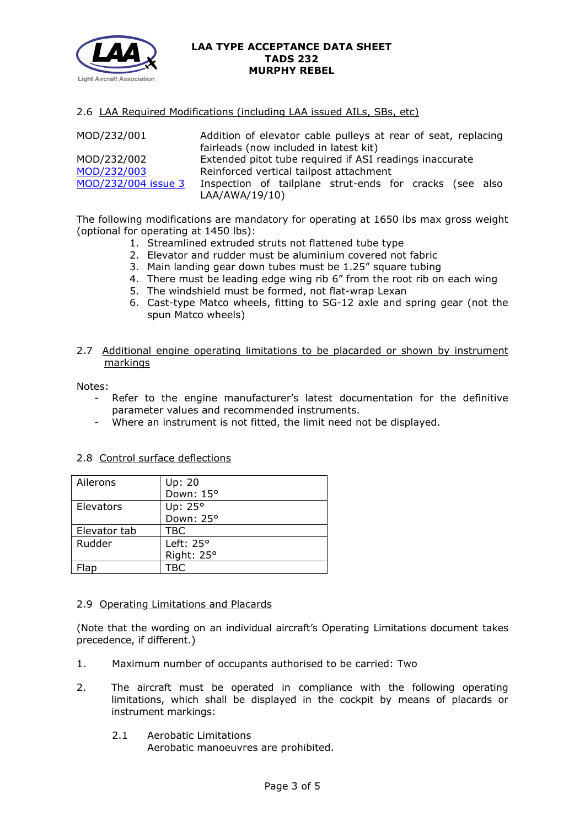

#### 2.6 LAA Required Modifications (including LAA issued AILs, SBs, etc)

| MOD/232/001         | Addition of elevator cable pulleys at rear of seat, replacing<br>fairleads (now included in latest kit) |  |  |
|---------------------|---------------------------------------------------------------------------------------------------------|--|--|
| MOD/232/002         | Extended pitot tube required if ASI readings inaccurate                                                 |  |  |
| MOD/232/003         | Reinforced vertical tailpost attachment                                                                 |  |  |
| MOD/232/004 issue 3 | Inspection of tailplane strut-ends for cracks (see also<br>LAA/AWA/19/10)                               |  |  |

The following modifications are mandatory for operating at 1650 lbs max gross weight (optional for operating at 1450 lbs):

- 1. Streamlined extruded struts not flattened tube type
- 2. Elevator and rudder must be aluminium covered not fabric
- 3. Main landing gear down tubes must be 1.25" square tubing
- 4. There must be leading edge wing rib 6" from the root rib on each wing
- 5. The windshield must be formed, not flat-wrap Lexan
- 6. Cast-type Matco wheels, fitting to SG-12 axle and spring gear (not the spun Matco wheels)
- 2.7 Additional engine operating limitations to be placarded or shown by instrument markings

#### Notes:

- Refer to the engine manufacturer's latest documentation for the definitive parameter values and recommended instruments.
- Where an instrument is not fitted, the limit need not be displayed.

| Ailerons     | Up: 20             |
|--------------|--------------------|
|              | Down: 15°          |
| Elevators    | Up: 25°            |
|              | Down: 25°          |
| Elevator tab | <b>TBC</b>         |
| Rudder       | Left: $25^{\circ}$ |
|              | Right: 25°         |
|              | TRC                |

### 2.8 Control surface deflections

### 2.9 Operating Limitations and Placards

(Note that the wording on an individual aircraft's Operating Limitations document takes precedence, if different.)

- 1. Maximum number of occupants authorised to be carried: Two
- 2. The aircraft must be operated in compliance with the following operating limitations, which shall be displayed in the cockpit by means of placards or instrument markings:
	- 2.1 Aerobatic Limitations

Aerobatic manoeuvres are prohibited.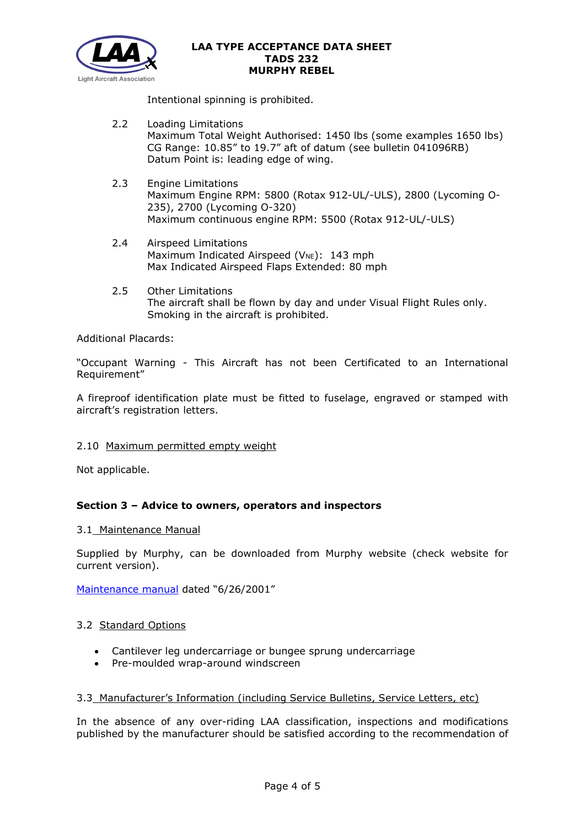

Intentional spinning is prohibited.

- 2.2 Loading Limitations Maximum Total Weight Authorised: 1450 lbs (some examples 1650 lbs) CG Range: 10.85" to 19.7" aft of datum (see bulletin 041096RB) Datum Point is: leading edge of wing.
- 2.3 Engine Limitations Maximum Engine RPM: 5800 (Rotax 912-UL/-ULS), 2800 (Lycoming O-235), 2700 (Lycoming O-320) Maximum continuous engine RPM: 5500 (Rotax 912-UL/-ULS)
- 2.4 Airspeed Limitations Maximum Indicated Airspeed ( $V_{NE}$ ): 143 mph Max Indicated Airspeed Flaps Extended: 80 mph
- 2.5 Other Limitations The aircraft shall be flown by day and under Visual Flight Rules only. Smoking in the aircraft is prohibited.

Additional Placards:

"Occupant Warning - This Aircraft has not been Certificated to an International Requirement"

A fireproof identification plate must be fitted to fuselage, engraved or stamped with aircraft's registration letters.

### 2.10 Maximum permitted empty weight

Not applicable.

# **Section 3 – Advice to owners, operators and inspectors**

3.1 Maintenance Manual

Supplied by Murphy, can be downloaded from Murphy website (check website for current version).

[Maintenance manual](http://www.lightaircraftassociation.co.uk/engineering/TADs/../_In%20draft/232%20Murphy%20Rebel/232/REBMAIN.pdf) dated "6/26/2001"

### 3.2 Standard Options

- Cantilever leg undercarriage or bungee sprung undercarriage
- Pre-moulded wrap-around windscreen

### 3.3 Manufacturer's Information (including Service Bulletins, Service Letters, etc)

In the absence of any over-riding LAA classification, inspections and modifications published by the manufacturer should be satisfied according to the recommendation of